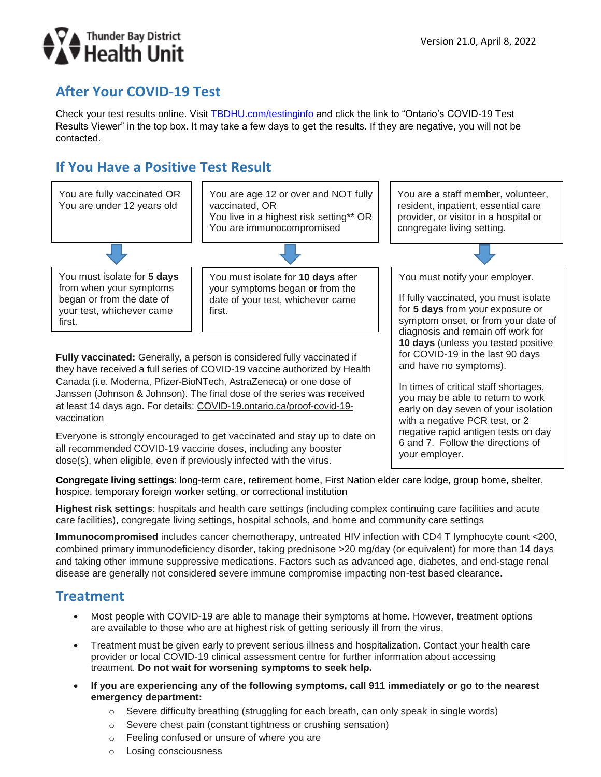

# **After Your COVID-19 Test**

Check your test results online. Visit [TBDHU.com/testinginfo](http://www.tbdhu.com/testinginfo) and click the link to "Ontario's COVID-19 Test Results Viewer" in the top box. It may take a few days to get the results. If they are negative, you will not be contacted.

# **If You Have a Positive Test Result**



they have received a full series of COVID-19 vaccine authorized by Health Canada (i.e. Moderna, Pfizer-BioNTech, AstraZeneca) or one dose of Janssen (Johnson & Johnson). The final dose of the series was received at least 14 days ago. For details: COVID-19.ontario.ca/proof-covid-19 vaccination

Everyone is strongly encouraged to [get vaccinated](https://www.tbdhu.com/covidvaccines) and [stay up to date](https://www.health.gov.on.ca/en/pro/programs/publichealth/coronavirus/docs/vaccine/COVID_19_vaccine_up_to_date.pdf) on all recommended COVID-19 vaccine doses, including any booster dose(s), when eligible, even if previously infected with the virus.

and have no symptoms).

In times of critical staff shortages, you may be able to return to work early on day seven of your isolation with a negative PCR test, or 2 negative rapid antigen tests on day 6 and 7. Follow the directions of your employer.

**Congregate living settings**: long-term care, retirement home, First Nation elder care lodge, group home, shelter, hospice, temporary foreign worker setting, or correctional institution

**Highest risk settings**: hospitals and health care settings (including complex continuing care facilities and acute care facilities), congregate living settings, hospital schools, and home and community care settings

**Immunocompromised** includes cancer chemotherapy, untreated HIV infection with CD4 T lymphocyte count <200, combined primary immunodeficiency disorder, taking prednisone >20 mg/day (or equivalent) for more than 14 days and taking other immune suppressive medications. Factors such as advanced age, diabetes, and end-stage renal disease are generally not considered severe immune compromise impacting non-test based clearance.

#### **Treatment**

- Most people with COVID-19 are able to manage their symptoms at home. However, treatment options are available to those who are at highest risk of getting seriously ill from the virus.
- Treatment must be given early to prevent serious illness and hospitalization. Contact your health care provider or local COVID-19 clinical assessment centre for further information about accessing treatment. **Do not wait for worsening symptoms to seek help.**
- **If you are experiencing any of the following symptoms, call 911 immediately or go to the nearest emergency department:**
	- o Severe difficulty breathing (struggling for each breath, can only speak in single words)
	- o Severe chest pain (constant tightness or crushing sensation)
	- o Feeling confused or unsure of where you are
	- o Losing consciousness